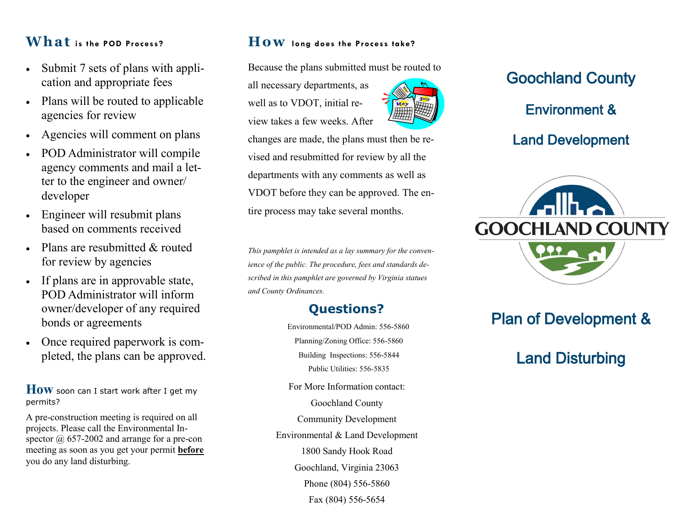# **Wh a t is the POD Process?**

- Submit 7 sets of plans with application and appropriate fees
- Plans will be routed to applicable agencies for review
- Agencies will comment on plans
- POD Administrator will compile agency comments and mail a letter to the engineer and owner/ developer
- Engineer will resubmit plans based on comments received
- Plans are resubmitted & routed for review by agencies
- If plans are in approvable state, POD Administrator will inform owner/developer of any required bonds or agreements
- Once required paperwork is completed, the plans can be approved.

**How** soon can I start work after I get my permits?

A pre-construction meeting is required on all projects. Please call the Environmental Inspector  $\omega$  657-2002 and arrange for a pre-con meeting as soon as you get your permit **before** you do any land disturbing.

### **How long does the Process take?**

Because the plans submitted must be routed to

all necessary departments, as well as to VDOT, initial review takes a few weeks. After



changes are made, the plans must then be revised and resubmitted for review by all the departments with any comments as well as VDOT before they can be approved. The entire process may take several months.

*This pamphlet is intended as a lay summary for the convenience of the public. The procedure, fees and standards described in this pamphlet are governed by Virginia statues and County Ordinances.* 

# **Questions?**

Environmental/POD Admin: 556-5860 Planning/Zoning Office: 556-5860 Building Inspections: 556-5844 Public Utilities: 556-5835

For More Information contact: Goochland County Community Development Environmental & Land Development 1800 Sandy Hook Road

Goochland, Virginia 23063 Phone (804) 556-5860 Fax (804) 556-5654

# Goochland County Environment & Land Development



# Plan of Development &

# Land Disturbing